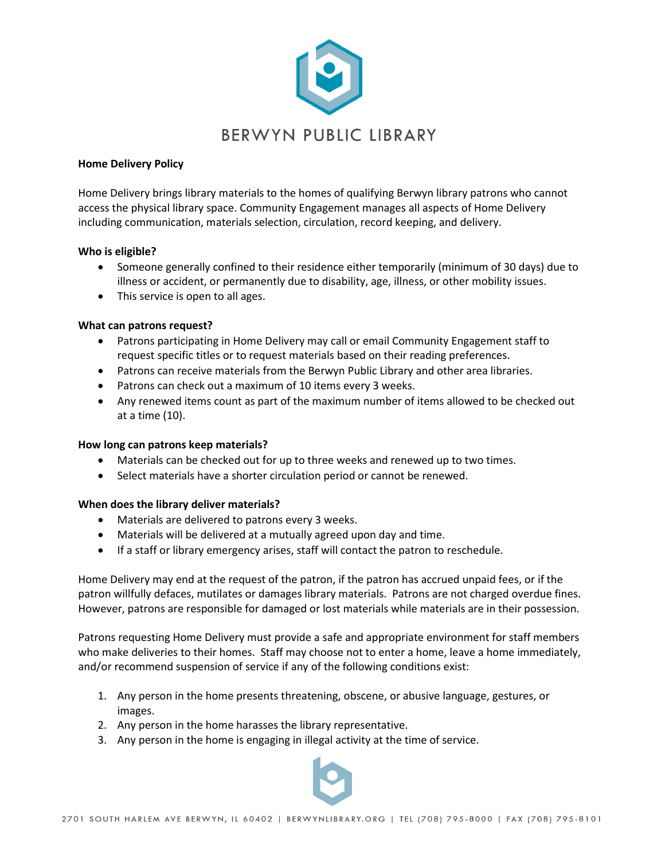

# **Home Delivery Policy**

Home Delivery brings library materials to the homes of qualifying Berwyn library patrons who cannot access the physical library space. Community Engagement manages all aspects of Home Delivery including communication, materials selection, circulation, record keeping, and delivery.

### **Who is eligible?**

- Someone generally confined to their residence either temporarily (minimum of 30 days) due to illness or accident, or permanently due to disability, age, illness, or other mobility issues.
- This service is open to all ages.

### **What can patrons request?**

- Patrons participating in Home Delivery may call or email Community Engagement staff to request specific titles or to request materials based on their reading preferences.
- Patrons can receive materials from the Berwyn Public Library and other area libraries.
- Patrons can check out a maximum of 10 items every 3 weeks.
- Any renewed items count as part of the maximum number of items allowed to be checked out at a time (10).

# **How long can patrons keep materials?**

- Materials can be checked out for up to three weeks and renewed up to two times.
- Select materials have a shorter circulation period or cannot be renewed.

#### **When does the library deliver materials?**

- Materials are delivered to patrons every 3 weeks.
- Materials will be delivered at a mutually agreed upon day and time.
- If a staff or library emergency arises, staff will contact the patron to reschedule.

Home Delivery may end at the request of the patron, if the patron has accrued unpaid fees, or if the patron willfully defaces, mutilates or damages library materials. Patrons are not charged overdue fines. However, patrons are responsible for damaged or lost materials while materials are in their possession.

Patrons requesting Home Delivery must provide a safe and appropriate environment for staff members who make deliveries to their homes. Staff may choose not to enter a home, leave a home immediately, and/or recommend suspension of service if any of the following conditions exist:

- 1. Any person in the home presents threatening, obscene, or abusive language, gestures, or images.
- 2. Any person in the home harasses the library representative.
- 3. Any person in the home is engaging in illegal activity at the time of service.